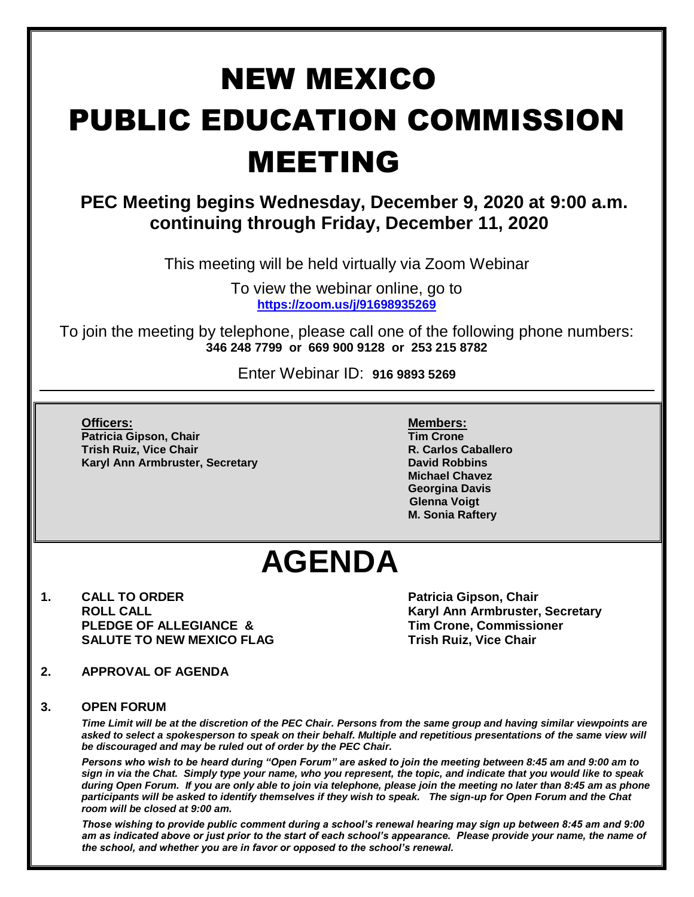# NEW MEXICO PUBLIC EDUCATION COMMISSION MEETING

 **PEC Meeting begins Wednesday, December 9, 2020 at 9:00 a.m. continuing through Friday, December 11, 2020** 

This meeting will be held virtually via Zoom Webinar

To view the webinar online, go to **<https://zoom.us/j/91698935269>**

To join the meeting by telephone, please call one of the following phone numbers: **346 248 7799 or 669 900 9128 or 253 215 8782**

Enter Webinar ID: **916 9893 5269**

**Officers: Members: Patricia Gipson, Chair Tim Crone Trish Ruiz, Vice Chair Karyl Ann Armbruster, Secretary <b>David Robbins David Robbins** 

**Michael Chavez Georgina Davis Glenna Voigt M. Sonia Raftery**

## **AGENDA**

**1. CALL TO ORDER Patricia Gipson, Chair PLEDGE OF ALLEGIANCE & Tim Crone, Commissioner SALUTE TO NEW MEXICO FLAG TRISH RUIZ, Vice Chair Trish Ruiz, Vice Chair** 

**ROLL CALL Karyl Ann Armbruster, Secretary**

**2. APPROVAL OF AGENDA**

#### **3. OPEN FORUM**

*Time Limit will be at the discretion of the PEC Chair. Persons from the same group and having similar viewpoints are*  asked to select a spokesperson to speak on their behalf. Multiple and repetitious presentations of the same view will *be discouraged and may be ruled out of order by the PEC Chair.*

*Persons who wish to be heard during "Open Forum" are asked to join the meeting between 8:45 am and 9:00 am to sign in via the Chat. Simply type your name, who you represent, the topic, and indicate that you would like to speak during Open Forum. If you are only able to join via telephone, please join the meeting no later than 8:45 am as phone participants will be asked to identify themselves if they wish to speak. The sign-up for Open Forum and the Chat room will be closed at 9:00 am.*

*Those wishing to provide public comment during a school's renewal hearing may sign up between 8:45 am and 9:00 am as indicated above or just prior to the start of each school's appearance. Please provide your name, the name of the school, and whether you are in favor or opposed to the school's renewal.*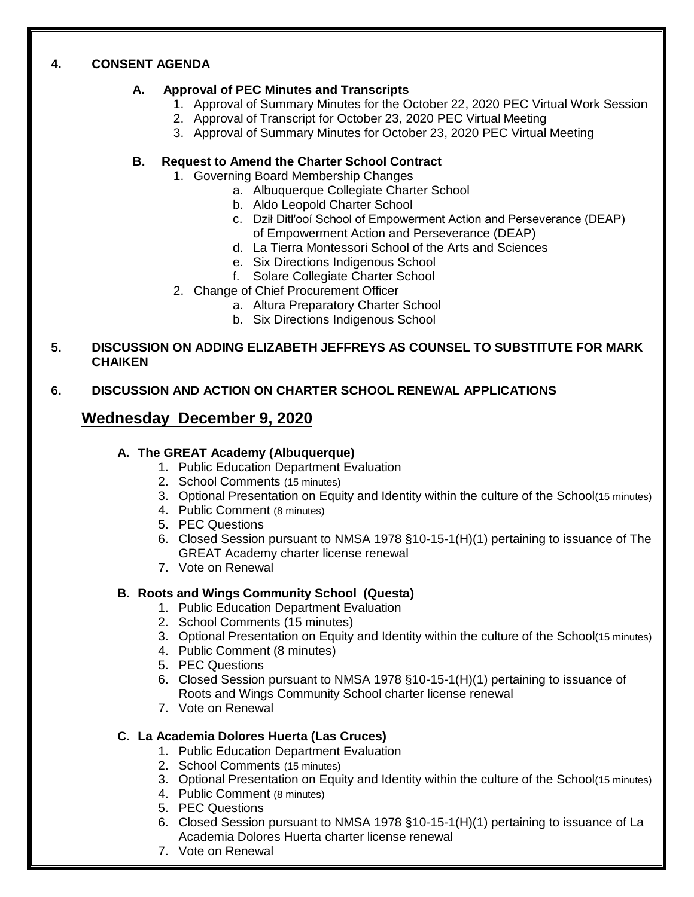#### **4. CONSENT AGENDA**

#### **A. Approval of PEC Minutes and Transcripts**

- 1. Approval of Summary Minutes for the October 22, 2020 PEC Virtual Work Session
- 2. Approval of Transcript for October 23, 2020 PEC Virtual Meeting
- 3. Approval of Summary Minutes for October 23, 2020 PEC Virtual Meeting

#### **B. Request to Amend the Charter School Contract**

- 1. Governing Board Membership Changes
	- a. Albuquerque Collegiate Charter School
	- b. Aldo Leopold Charter School
	- c. Dził Ditł'ooí School of Empowerment Action and Perseverance (DEAP) of Empowerment Action and Perseverance (DEAP)
	- d. La Tierra Montessori School of the Arts and Sciences
	- e. Six Directions Indigenous School
	- f. Solare Collegiate Charter School
- 2. Change of Chief Procurement Officer
	- a. Altura Preparatory Charter School
	- b. Six Directions Indigenous School

#### **5. DISCUSSION ON ADDING ELIZABETH JEFFREYS AS COUNSEL TO SUBSTITUTE FOR MARK CHAIKEN**

#### **6. DISCUSSION AND ACTION ON CHARTER SCHOOL RENEWAL APPLICATIONS**

## **Wednesday December 9, 2020**

#### **A. The GREAT Academy (Albuquerque)**

- 1. Public Education Department Evaluation
- 2. School Comments (15 minutes)
- 3. Optional Presentation on Equity and Identity within the culture of the School(15 minutes)
- 4. Public Comment (8 minutes)
- 5. PEC Questions
- 6. Closed Session pursuant to NMSA 1978 §10-15-1(H)(1) pertaining to issuance of The GREAT Academy charter license renewal
- 7. Vote on Renewal

#### **B. Roots and Wings Community School (Questa)**

- 1. Public Education Department Evaluation
- 2. School Comments (15 minutes)
- 3. Optional Presentation on Equity and Identity within the culture of the School(15 minutes)
- 4. Public Comment (8 minutes)
- 5. PEC Questions
- 6. Closed Session pursuant to NMSA 1978 §10-15-1(H)(1) pertaining to issuance of Roots and Wings Community School charter license renewal
- 7. Vote on Renewal

#### **C. La Academia Dolores Huerta (Las Cruces)**

- 1. Public Education Department Evaluation
- 2. School Comments (15 minutes)
- 3. Optional Presentation on Equity and Identity within the culture of the School(15 minutes)
- 4. Public Comment (8 minutes)
- 5. PEC Questions
- 6. Closed Session pursuant to NMSA 1978 §10-15-1(H)(1) pertaining to issuance of La Academia Dolores Huerta charter license renewal
- 7. Vote on Renewal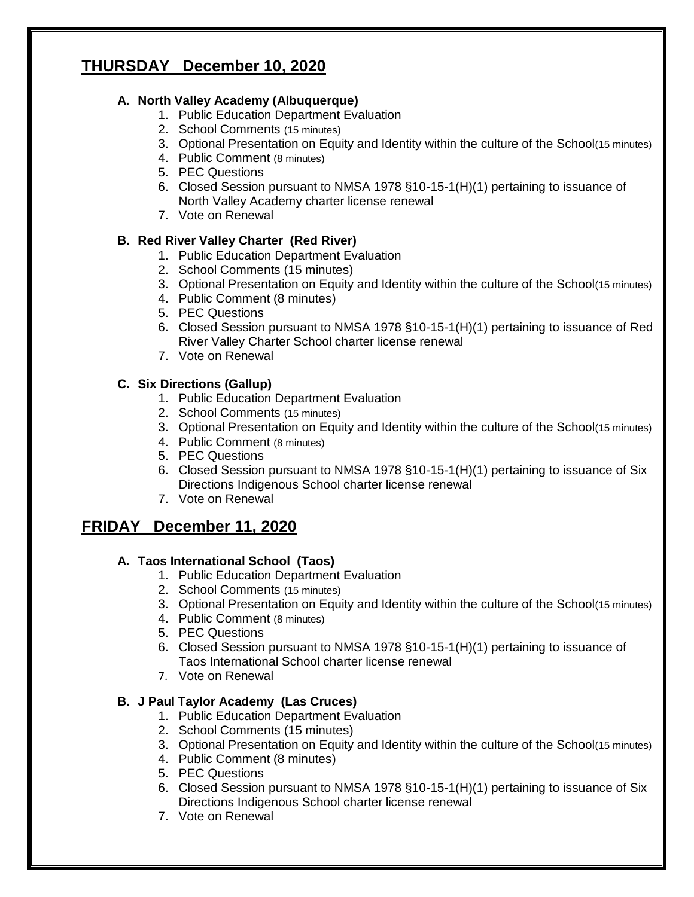## **THURSDAY December 10, 2020**

#### **A. North Valley Academy (Albuquerque)**

- 1. Public Education Department Evaluation
- 2. School Comments (15 minutes)
- 3. Optional Presentation on Equity and Identity within the culture of the School(15 minutes)
- 4. Public Comment (8 minutes)
- 5. PEC Questions
- 6. Closed Session pursuant to NMSA 1978 §10-15-1(H)(1) pertaining to issuance of North Valley Academy charter license renewal
- 7. Vote on Renewal

#### **B. Red River Valley Charter (Red River)**

- 1. Public Education Department Evaluation
- 2. School Comments (15 minutes)
- 3. Optional Presentation on Equity and Identity within the culture of the School(15 minutes)
- 4. Public Comment (8 minutes)
- 5. PEC Questions
- 6. Closed Session pursuant to NMSA 1978 §10-15-1(H)(1) pertaining to issuance of Red River Valley Charter School charter license renewal
- 7. Vote on Renewal

#### **C. Six Directions (Gallup)**

- 1. Public Education Department Evaluation
- 2. School Comments (15 minutes)
- 3. Optional Presentation on Equity and Identity within the culture of the School(15 minutes)
- 4. Public Comment (8 minutes)
- 5. PEC Questions
- 6. Closed Session pursuant to NMSA 1978 §10-15-1(H)(1) pertaining to issuance of Six Directions Indigenous School charter license renewal
- 7. Vote on Renewal

## **FRIDAY December 11, 2020**

#### **A. Taos International School (Taos)**

- 1. Public Education Department Evaluation
- 2. School Comments (15 minutes)
- 3. Optional Presentation on Equity and Identity within the culture of the School(15 minutes)
- 4. Public Comment (8 minutes)
- 5. PEC Questions
- 6. Closed Session pursuant to NMSA 1978 §10-15-1(H)(1) pertaining to issuance of Taos International School charter license renewal
- 7. Vote on Renewal

#### **B. J Paul Taylor Academy (Las Cruces)**

- 1. Public Education Department Evaluation
- 2. School Comments (15 minutes)
- 3. Optional Presentation on Equity and Identity within the culture of the School(15 minutes)
- 4. Public Comment (8 minutes)
- 5. PEC Questions
- 6. Closed Session pursuant to NMSA 1978 §10-15-1(H)(1) pertaining to issuance of Six Directions Indigenous School charter license renewal
- 7. Vote on Renewal